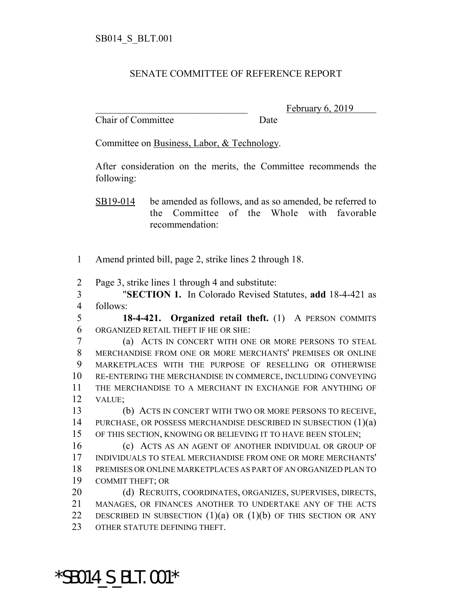## SENATE COMMITTEE OF REFERENCE REPORT

Chair of Committee Date

February 6, 2019

Committee on Business, Labor, & Technology.

After consideration on the merits, the Committee recommends the following:

SB19-014 be amended as follows, and as so amended, be referred to the Committee of the Whole with favorable recommendation:

- 1 Amend printed bill, page 2, strike lines 2 through 18.
- 2 Page 3, strike lines 1 through 4 and substitute:

3 "**SECTION 1.** In Colorado Revised Statutes, **add** 18-4-421 as 4 follows:

5 **18-4-421. Organized retail theft.** (1) A PERSON COMMITS 6 ORGANIZED RETAIL THEFT IF HE OR SHE:

 (a) ACTS IN CONCERT WITH ONE OR MORE PERSONS TO STEAL MERCHANDISE FROM ONE OR MORE MERCHANTS' PREMISES OR ONLINE MARKETPLACES WITH THE PURPOSE OF RESELLING OR OTHERWISE RE-ENTERING THE MERCHANDISE IN COMMERCE, INCLUDING CONVEYING THE MERCHANDISE TO A MERCHANT IN EXCHANGE FOR ANYTHING OF 12 VALUE;

13 (b) ACTS IN CONCERT WITH TWO OR MORE PERSONS TO RECEIVE, 14 PURCHASE, OR POSSESS MERCHANDISE DESCRIBED IN SUBSECTION (1)(a) 15 OF THIS SECTION, KNOWING OR BELIEVING IT TO HAVE BEEN STOLEN;

 (c) ACTS AS AN AGENT OF ANOTHER INDIVIDUAL OR GROUP OF INDIVIDUALS TO STEAL MERCHANDISE FROM ONE OR MORE MERCHANTS' PREMISES OR ONLINE MARKETPLACES AS PART OF AN ORGANIZED PLAN TO COMMIT THEFT; OR

20 (d) RECRUITS, COORDINATES, ORGANIZES, SUPERVISES, DIRECTS, 21 MANAGES, OR FINANCES ANOTHER TO UNDERTAKE ANY OF THE ACTS 22 DESCRIBED IN SUBSECTION  $(1)(a)$  OR  $(1)(b)$  OF THIS SECTION OR ANY 23 OTHER STATUTE DEFINING THEFT.

\*SB014\_S\_BLT.001\*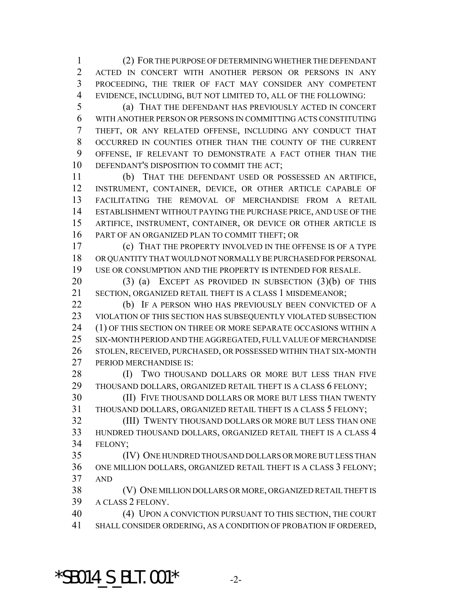(2) FOR THE PURPOSE OF DETERMINING WHETHER THE DEFENDANT ACTED IN CONCERT WITH ANOTHER PERSON OR PERSONS IN ANY PROCEEDING, THE TRIER OF FACT MAY CONSIDER ANY COMPETENT EVIDENCE, INCLUDING, BUT NOT LIMITED TO, ALL OF THE FOLLOWING:

 (a) THAT THE DEFENDANT HAS PREVIOUSLY ACTED IN CONCERT WITH ANOTHER PERSON OR PERSONS IN COMMITTING ACTS CONSTITUTING THEFT, OR ANY RELATED OFFENSE, INCLUDING ANY CONDUCT THAT OCCURRED IN COUNTIES OTHER THAN THE COUNTY OF THE CURRENT OFFENSE, IF RELEVANT TO DEMONSTRATE A FACT OTHER THAN THE DEFENDANT'S DISPOSITION TO COMMIT THE ACT;

 (b) THAT THE DEFENDANT USED OR POSSESSED AN ARTIFICE, INSTRUMENT, CONTAINER, DEVICE, OR OTHER ARTICLE CAPABLE OF FACILITATING THE REMOVAL OF MERCHANDISE FROM A RETAIL ESTABLISHMENT WITHOUT PAYING THE PURCHASE PRICE, AND USE OF THE ARTIFICE, INSTRUMENT, CONTAINER, OR DEVICE OR OTHER ARTICLE IS PART OF AN ORGANIZED PLAN TO COMMIT THEFT; OR

 (c) THAT THE PROPERTY INVOLVED IN THE OFFENSE IS OF A TYPE OR QUANTITY THAT WOULD NOT NORMALLY BE PURCHASED FOR PERSONAL USE OR CONSUMPTION AND THE PROPERTY IS INTENDED FOR RESALE.

 (3) (a) EXCEPT AS PROVIDED IN SUBSECTION (3)(b) OF THIS SECTION, ORGANIZED RETAIL THEFT IS A CLASS 1 MISDEMEANOR;

22 (b) IF A PERSON WHO HAS PREVIOUSLY BEEN CONVICTED OF A VIOLATION OF THIS SECTION HAS SUBSEQUENTLY VIOLATED SUBSECTION 24 (1) OF THIS SECTION ON THREE OR MORE SEPARATE OCCASIONS WITHIN A SIX-MONTH PERIOD AND THE AGGREGATED, FULL VALUE OF MERCHANDISE STOLEN, RECEIVED, PURCHASED, OR POSSESSED WITHIN THAT SIX-MONTH PERIOD MERCHANDISE IS:

28 (I) TWO THOUSAND DOLLARS OR MORE BUT LESS THAN FIVE THOUSAND DOLLARS, ORGANIZED RETAIL THEFT IS A CLASS 6 FELONY;

 (II) FIVE THOUSAND DOLLARS OR MORE BUT LESS THAN TWENTY THOUSAND DOLLARS, ORGANIZED RETAIL THEFT IS A CLASS 5 FELONY;

 (III) TWENTY THOUSAND DOLLARS OR MORE BUT LESS THAN ONE HUNDRED THOUSAND DOLLARS, ORGANIZED RETAIL THEFT IS A CLASS 4 FELONY;

 (IV) ONE HUNDRED THOUSAND DOLLARS OR MORE BUT LESS THAN ONE MILLION DOLLARS, ORGANIZED RETAIL THEFT IS A CLASS 3 FELONY; AND

 (V) ONE MILLION DOLLARS OR MORE, ORGANIZED RETAIL THEFT IS A CLASS 2 FELONY.

 (4) UPON A CONVICTION PURSUANT TO THIS SECTION, THE COURT SHALL CONSIDER ORDERING, AS A CONDITION OF PROBATION IF ORDERED,

\*SB014 S BLT.001\*  $-2$ -